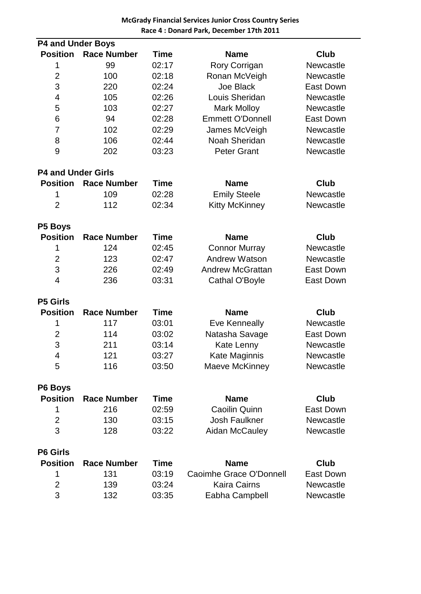| <b>P4 and Under Boys</b>  |             |                         |                  |  |  |  |  |
|---------------------------|-------------|-------------------------|------------------|--|--|--|--|
| <b>Race Number</b>        | <b>Time</b> | <b>Name</b>             | <b>Club</b>      |  |  |  |  |
| 99                        | 02:17       | Rory Corrigan           | Newcastle        |  |  |  |  |
| 100                       | 02:18       | Ronan McVeigh           | Newcastle        |  |  |  |  |
| 220                       | 02:24       | <b>Joe Black</b>        | <b>East Down</b> |  |  |  |  |
| 105                       | 02:26       | Louis Sheridan          | Newcastle        |  |  |  |  |
| 103                       | 02:27       | <b>Mark Molloy</b>      | Newcastle        |  |  |  |  |
| 94                        | 02:28       | <b>Emmett O'Donnell</b> | <b>East Down</b> |  |  |  |  |
| 102                       | 02:29       | James McVeigh           | <b>Newcastle</b> |  |  |  |  |
| 106                       | 02:44       | Noah Sheridan           | Newcastle        |  |  |  |  |
| 202                       | 03:23       | <b>Peter Grant</b>      | Newcastle        |  |  |  |  |
| <b>P4 and Under Girls</b> |             |                         |                  |  |  |  |  |
| <b>Race Number</b>        | <b>Time</b> | <b>Name</b>             | <b>Club</b>      |  |  |  |  |
| 109                       | 02:28       | <b>Emily Steele</b>     | Newcastle        |  |  |  |  |
| 112                       | 02:34       | <b>Kitty McKinney</b>   | Newcastle        |  |  |  |  |
|                           |             |                         |                  |  |  |  |  |
| <b>Race Number</b>        | <b>Time</b> | <b>Name</b>             | <b>Club</b>      |  |  |  |  |
| 124                       | 02:45       | <b>Connor Murray</b>    | Newcastle        |  |  |  |  |
| 123                       | 02:47       | <b>Andrew Watson</b>    | Newcastle        |  |  |  |  |
| 226                       | 02:49       | <b>Andrew McGrattan</b> | <b>East Down</b> |  |  |  |  |
| 236                       | 03:31       | Cathal O'Boyle          | <b>East Down</b> |  |  |  |  |
|                           |             |                         |                  |  |  |  |  |
| <b>Race Number</b>        | <b>Time</b> | <b>Name</b>             | <b>Club</b>      |  |  |  |  |
| 117                       | 03:01       | Eve Kenneally           | Newcastle        |  |  |  |  |
| 114                       | 03:02       | Natasha Savage          | <b>East Down</b> |  |  |  |  |
| 211                       | 03:14       | Kate Lenny              | Newcastle        |  |  |  |  |
| 121                       | 03:27       | Kate Maginnis           | <b>Newcastle</b> |  |  |  |  |
| 116                       | 03:50       | Maeve McKinney          | Newcastle        |  |  |  |  |
|                           |             |                         |                  |  |  |  |  |
| <b>Race Number</b>        | <b>Time</b> | <b>Name</b>             | <b>Club</b>      |  |  |  |  |
| 216                       | 02:59       | <b>Caoilin Quinn</b>    | <b>East Down</b> |  |  |  |  |
| 130                       | 03:15       | <b>Josh Faulkner</b>    | Newcastle        |  |  |  |  |
| 128                       | 03:22       | Aidan McCauley          | Newcastle        |  |  |  |  |
|                           |             |                         |                  |  |  |  |  |
| <b>Race Number</b>        | <b>Time</b> | <b>Name</b>             | <b>Club</b>      |  |  |  |  |
| 131                       | 03:19       | Caoimhe Grace O'Donnell | <b>East Down</b> |  |  |  |  |
| 139                       | 03:24       | <b>Kaira Cairns</b>     | Newcastle        |  |  |  |  |
| 132                       | 03:35       | Eabha Campbell          | Newcastle        |  |  |  |  |
|                           |             |                         |                  |  |  |  |  |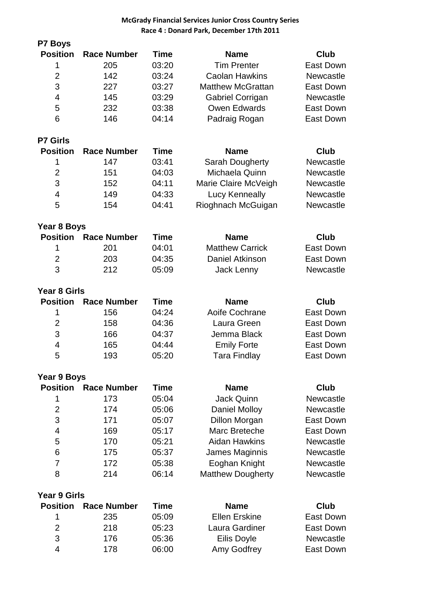## **McGrady Financial Services Junior Cross Country Series Race 4 : Donard Park, December 17th 2011**

| P7 Boys             |                    |             |                          |                  |
|---------------------|--------------------|-------------|--------------------------|------------------|
| <b>Position</b>     | <b>Race Number</b> | <b>Time</b> | <b>Name</b>              | <b>Club</b>      |
| 1                   | 205                | 03:20       | <b>Tim Prenter</b>       | <b>East Down</b> |
| $\overline{2}$      | 142                | 03:24       | <b>Caolan Hawkins</b>    | Newcastle        |
| 3                   | 227                | 03:27       | <b>Matthew McGrattan</b> | <b>East Down</b> |
| $\overline{4}$      | 145                | 03:29       | Gabriel Corrigan         | Newcastle        |
| 5                   | 232                | 03:38       | <b>Owen Edwards</b>      | <b>East Down</b> |
| 6                   | 146                | 04:14       | Padraig Rogan            | East Down        |
| <b>P7 Girls</b>     |                    |             |                          |                  |
| <b>Position</b>     | <b>Race Number</b> | <b>Time</b> | <b>Name</b>              | <b>Club</b>      |
| 1                   | 147                | 03:41       | Sarah Dougherty          | <b>Newcastle</b> |
| $\overline{2}$      | 151                | 04:03       | Michaela Quinn           | <b>Newcastle</b> |
| 3                   | 152                | 04:11       | Marie Claire McVeigh     | Newcastle        |
| $\overline{4}$      | 149                | 04:33       | Lucy Kenneally           | Newcastle        |
| 5                   | 154                | 04:41       | Rioghnach McGuigan       | Newcastle        |
| Year 8 Boys         |                    |             |                          |                  |
| <b>Position</b>     | <b>Race Number</b> | <b>Time</b> | <b>Name</b>              | <b>Club</b>      |
| 1                   | 201                | 04:01       | <b>Matthew Carrick</b>   | <b>East Down</b> |
| $\overline{2}$      | 203                | 04:35       | Daniel Atkinson          | <b>East Down</b> |
| 3                   | 212                | 05:09       | Jack Lenny               | Newcastle        |
|                     |                    |             |                          |                  |
| <b>Year 8 Girls</b> |                    |             |                          |                  |
| <b>Position</b>     | <b>Race Number</b> | <b>Time</b> | <b>Name</b>              | <b>Club</b>      |
| 1                   | 156                | 04:24       | Aoife Cochrane           | East Down        |
| $\overline{2}$      | 158                | 04:36       | Laura Green              | East Down        |
| 3                   | 166                | 04:37       | Jemma Black              | East Down        |
| $\overline{4}$      | 165                | 04:44       | <b>Emily Forte</b>       | <b>East Down</b> |
| 5                   | 193                | 05:20       | <b>Tara Findlay</b>      | East Down        |
| Year 9 Boys         |                    |             |                          |                  |
| <b>Position</b>     | <b>Race Number</b> | <b>Time</b> | <b>Name</b>              | Club             |
| 1                   | 173                | 05:04       | <b>Jack Quinn</b>        | Newcastle        |
| $\overline{2}$      | 174                | 05:06       | Daniel Molloy            | Newcastle        |
| 3                   | 171                | 05:07       | <b>Dillon Morgan</b>     | East Down        |
| 4                   | 169                | 05:17       | Marc Breteche            | East Down        |
| 5                   | 170                | 05:21       | <b>Aidan Hawkins</b>     | Newcastle        |
| 6                   | 175                | 05:37       | James Maginnis           | Newcastle        |
| 7                   | 172                | 05:38       | Eoghan Knight            | Newcastle        |
| 8                   | 214                | 06:14       | <b>Matthew Dougherty</b> | Newcastle        |
| <b>Year 9 Girls</b> |                    |             |                          |                  |
| <b>Position</b>     | <b>Race Number</b> | <b>Time</b> | <b>Name</b>              | <b>Club</b>      |
| 1                   | 235                | 05:09       | <b>Ellen Erskine</b>     | East Down        |
| $\overline{2}$      | 218                | 05:23       | Laura Gardiner           | East Down        |
| 3                   | 176                | 05:36       | Eilis Doyle              | Newcastle        |
| 4                   | 178                | 06:00       | Amy Godfrey              | <b>East Down</b> |
|                     |                    |             |                          |                  |